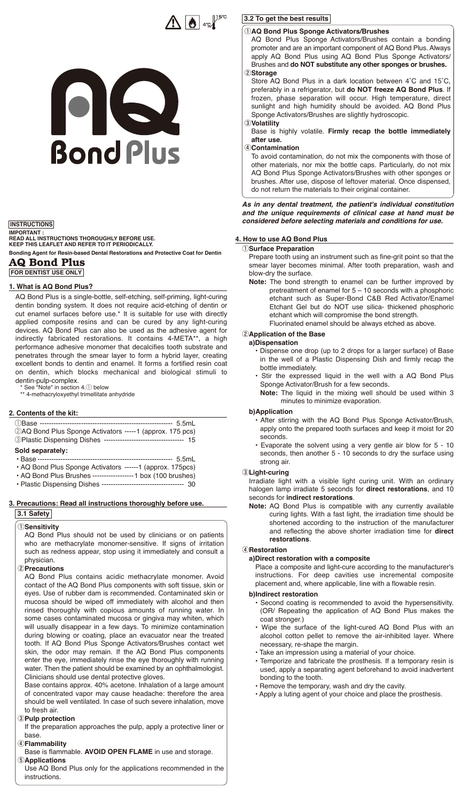## $\Lambda$   $\bullet$   $\mathbb{R}^{\text{Isc}}$

# 08 **Bond Plus**

#### **INSTRUCTIONS**

**Bonding Agent for Resin-based Dental Restorations and Protective Coat for Dentin AQ Bond Plus IMPORTANT : READ ALL INSTRUCTIONS THOROUGHLY BEFORE USE. KEEP THIS LEAFLET AND REFER TO IT PERIODICALLY.** 

**FOR DENTIST USE ONLY**

#### **1. What is AQ Bond Plus?**

AQ Bond Plus is a single-bottle, self-etching, self-priming, light-curing dentin bonding system. It does not require acid-etching of dentin or cut enamel surfaces before use.\* It is suitable for use with directly applied composite resins and can be cured by any light-curing devices. AQ Bond Plus can also be used as the adhesive agent for indirectly fabricated restorations. It contains 4-META\*\*, a high performance adhesive monomer that decalcifies tooth substrate and penetrates through the smear layer to form a hybrid layer, creating excellent bonds to dentin and enamel. It forms a fortified resin coat on dentin, which blocks mechanical and biological stimuli to

dentin-pulp-complex. \* See "Note" in section 4.q below

\*\* 4-methacryloxyethyl trimellitate anhydride

#### **2. Contents of the kit:**

| 2AQ Bond Plus Sponge Activators -----1 (approx. 175 pcs)                |  |
|-------------------------------------------------------------------------|--|
| <b>3Plastic Dispensing Dishes ---------------------------------- 15</b> |  |

### Sold separately:<br>
· Base -------------

• Base ----------------------------------------------------------- 5.5mL

• AQ Bond Plus Sponge Activators ------1 (approx. 175pcs) • AQ Bond Plus Brushes ------------------1 box (100 brushes)

- Plastic Dispensing Dishes --------
- **3. Precautions: Read all instructions thoroughly before use. 3.1 Safety**

#### q**Sensitivity**

AQ Bond Plus should not be used by clinicians or on patients who are methacrylate monomer-sensitive. If signs of irritation such as redness appear, stop using it immediately and consult a physician.

#### w**Precautions**

AQ Bond Plus contains acidic methacrylate monomer. Avoid contact of the AQ Bond Plus components with soft tissue, skin or eyes. Use of rubber dam is recommended. Contaminated skin or mucosa should be wiped off immediately with alcohol and then rinsed thoroughly with copious amounts of running water. In some cases contaminated mucosa or gingiva may whiten, which will usually disappear in a few days. To minimize contamination during blowing or coating, place an evacuator near the treated tooth. If AQ Bond Plus Sponge Activators/Brushes contact wet skin, the odor may remain. If the AQ Bond Plus components enter the eye, immediately rinse the eye thoroughly with running water. Then the patient should be examined by an ophthalmologist. Clinicians should use dental protective gloves.

Base contains approx. 40% acetone. Inhalation of a large amount of concentrated vapor may cause headache: therefore the area should be well ventilated. In case of such severe inhalation, move to fresh air.

#### e**Pulp protection**

If the preparation approaches the pulp, apply a protective liner or base.

#### r**Flammability**

Base is flammable. **AVOID OPEN FLAME** in use and storage. **5**Applications

Use AQ Bond Plus only for the applications recommended in the instructions.

#### **3.2 To get the best results**

#### q**AQ Bond Plus Sponge Activators/Brushes**

- AQ Bond Plus Sponge Activators/Brushes contain a bonding promoter and are an important component of AQ Bond Plus. Always apply AQ Bond Plus using AQ Bond Plus Sponge Activators/ Brushes and **do NOT substitute any other sponges or brushes.** w**Storage**
- Store AQ Bond Plus in a dark location between 4˚C and 15˚C, preferably in a refrigerator, but **do NOT freeze AQ Bond Plus**. If frozen, phase separation will occur. High temperature, direct sunlight and high humidity should be avoided. AQ Bond Plus Sponge Activators/Brushes are slightly hydroscopic. e**Volatility**
- 

Base is highly volatile. **Firmly recap the bottle immediately after use.**

#### r**Contamination**

To avoid contamination, do not mix the components with those of other materials, nor mix the bottle caps. Particularly, do not mix AQ Bond Plus Sponge Activators/Brushes with other sponges or brushes. After use, dispose of leftover material. Once dispensed, do not return the materials to their original container.

#### *As in any dental treatment, the patient's individual constitution and the unique requirements of clinical case at hand must be considered before selecting materials and conditions for use.*

#### **4. How to use AQ Bond Plus**

#### q**Surface Preparation**

Prepare tooth using an instrument such as fine-grit point so that the smear layer becomes minimal. After tooth preparation, wash and blow-dry the surface.

**Note:** The bond strength to enamel can be further improved by pretreatment of enamel for 5 – 10 seconds with a phosphoric etchant such as Super-Bond C&B Red Activator/Enamel Etchant Gel but do NOT use silica- thickened phosphoric etchant which will compromise the bond strength. Fluorinated enamel should be always etched as above.

#### **(2) Application of the Base a)Dispensation**

- Dispense one drop (up to 2 drops for a larger surface) of Base in the well of a Plastic Dispensing Dish and firmly recap the bottle immediately.
- Stir the expressed liquid in the well with a AQ Bond Plus Sponge Activator/Brush for a few seconds.
- **Note:** The liquid in the mixing well should be used within 3 minutes to minimize evaporation.

#### **b)Application**

- After stirring with the AQ Bond Plus Sponge Activator/Brush, apply onto the prepared tooth surfaces and keep it moist for 20 seconds.
- Evaporate the solvent using a very gentle air blow for 5 10 seconds, then another 5 - 10 seconds to dry the surface using strong air.

#### e**Light-curing**

Irradiate light with a visible light curing unit. With an ordinary halogen lamp irradiate 5 seconds for **direct restorations**, and 10 seconds for **indirect restorations**.

**Note:** AQ Bond Plus is compatible with any currently available curing lights. With a fast light, the irradiation time should be shortened according to the instruction of the manufacturer and reflecting the above shorter irradiation time for **direct restorations**.

#### r**Restoration**

#### **a)Direct restoration with a composite**

Place a composite and light-cure according to the manufacturer's instructions. For deep cavities use incremental composite placement and, where applicable, line with a flowable resin.

#### **b)Indirect restoration**

- Second coating is recommended to avoid the hypersensitivity. (OR/ Repeating the application of AQ Bond Plus makes the coat stronger.)
- Wipe the surface of the light-cured AQ Bond Plus with an alcohol cotton pellet to remove the air-inhibited layer. Where necessary, re-shape the margin.
- Take an impression using a material of your choice.
- Temporize and fabricate the prosthesis. If a temporary resin is used, apply a separating agent beforehand to avoid inadvertent bonding to the tooth.
- Remove the temporary, wash and dry the cavity.
- Apply a luting agent of your choice and place the prosthesis.